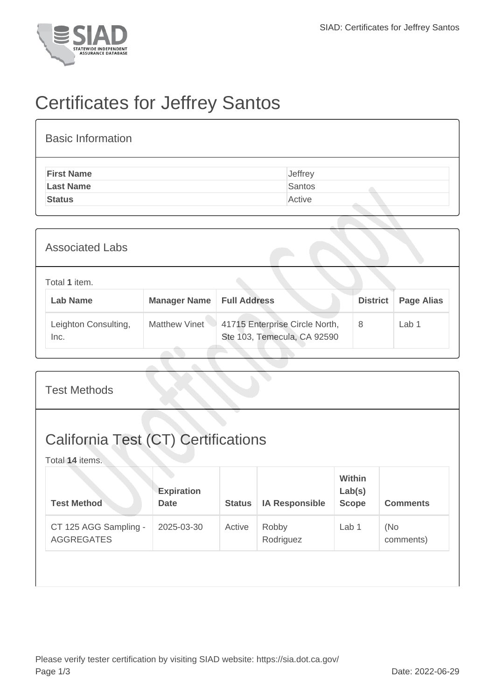

## Certificates for Jeffrey Santos

| <b>Basic Information</b> |         |
|--------------------------|---------|
| <b>First Name</b>        | Jeffrey |
| <b>Last Name</b>         | Santos  |
| <b>Status</b>            | Active  |

| <b>Associated Labs</b>           |                     |                                                               |                 |                   |
|----------------------------------|---------------------|---------------------------------------------------------------|-----------------|-------------------|
| Total 1 item.<br><b>Lab Name</b> | <b>Manager Name</b> | <b>Full Address</b>                                           | <b>District</b> | <b>Page Alias</b> |
| Leighton Consulting,<br>Inc.     | Matthew Vinet       | 41715 Enterprise Circle North,<br>Ste 103, Temecula, CA 92590 | 8               | Lab 1             |

| <b>Test Methods</b>                                           |                                  |               |                       |                                         |                  |  |  |
|---------------------------------------------------------------|----------------------------------|---------------|-----------------------|-----------------------------------------|------------------|--|--|
| <b>California Test (CT) Certifications</b><br>Total 14 items. |                                  |               |                       |                                         |                  |  |  |
| <b>Test Method</b>                                            | <b>Expiration</b><br><b>Date</b> | <b>Status</b> | <b>IA Responsible</b> | <b>Within</b><br>Lab(s)<br><b>Scope</b> | <b>Comments</b>  |  |  |
| CT 125 AGG Sampling -<br><b>AGGREGATES</b>                    | 2025-03-30                       | Active        | Robby<br>Rodriguez    | Lab 1                                   | (No<br>comments) |  |  |
|                                                               |                                  |               |                       |                                         |                  |  |  |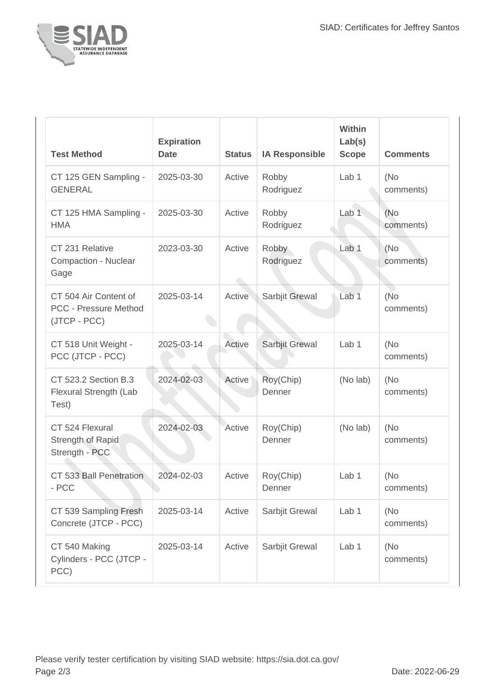

| <b>Test Method</b>                                                    | <b>Expiration</b><br><b>Date</b> | <b>Status</b> | <b>IA Responsible</b> | Within<br>Lab(s)<br><b>Scope</b> | <b>Comments</b>   |
|-----------------------------------------------------------------------|----------------------------------|---------------|-----------------------|----------------------------------|-------------------|
| CT 125 GEN Sampling -<br><b>GENERAL</b>                               | 2025-03-30                       | Active        | Robby<br>Rodriguez    | Lab <sub>1</sub>                 | (No)<br>comments) |
| CT 125 HMA Sampling -<br><b>HMA</b>                                   | 2025-03-30                       | Active        | Robby<br>Rodriguez    | Lab <sub>1</sub>                 | (No)<br>comments) |
| CT 231 Relative<br>Compaction - Nuclear<br>Gage                       | 2023-03-30                       | Active        | Robby<br>Rodriguez    | Lab 1                            | (No<br>comments)  |
| CT 504 Air Content of<br><b>PCC - Pressure Method</b><br>(JTCP - PCC) | 2025-03-14                       | Active        | Sarbjit Grewal        | Lab <sub>1</sub>                 | (No)<br>comments) |
| CT 518 Unit Weight -<br>PCC (JTCP - PCC)                              | 2025-03-14                       | Active        | Sarbjit Grewal        | Lab 1                            | (No)<br>comments) |
| CT 523.2 Section B.3<br>Flexural Strength (Lab<br>Test)               | 2024-02-03                       | Active        | Roy(Chip)<br>Denner   | (No lab)                         | (No)<br>comments) |
| CT 524 Flexural<br>Strength of Rapid<br>Strength - PCC                | 2024-02-03                       | Active        | Roy(Chip)<br>Denner   | (No lab)                         | (No)<br>comments) |
| CT 533 Ball Penetration<br>- PCC                                      | 2024-02-03                       | Active        | Roy(Chip)<br>Denner   | Lab <sub>1</sub>                 | (No)<br>comments) |
| CT 539 Sampling Fresh<br>Concrete (JTCP - PCC)                        | 2025-03-14                       | Active        | Sarbjit Grewal        | Lab 1                            | (No)<br>comments) |
| CT 540 Making<br>Cylinders - PCC (JTCP -<br>PCC)                      | 2025-03-14                       | Active        | Sarbjit Grewal        | Lab 1                            | (No)<br>comments) |